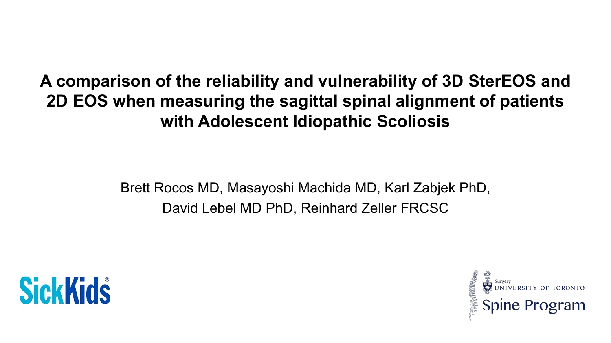### **A comparison of the reliability and vulnerability of 3D SterEOS and 2D EOS when measuring the sagittal spinal alignment of patients with Adolescent Idiopathic Scoliosis**

Brett Rocos MD, Masayoshi Machida MD, Karl Zabjek PhD, David Lebel MD PhD, Reinhard Zeller FRCSC



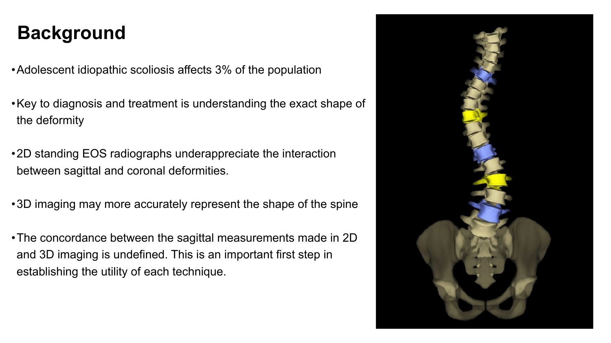- Adolescent idiopathic scoliosis affects 3% of the population
- the deformity
- •2D standing EOS radiographs underappreciate the interaction between sagittal and coronal deformities.
- 
- and 3D imaging is undefined. This is an important first step in establishing the utility of each technique.

•Key to diagnosis and treatment is understanding the exact shape of

•3D imaging may more accurately represent the shape of the spine

•The concordance between the sagittal measurements made in 2D



## **Background**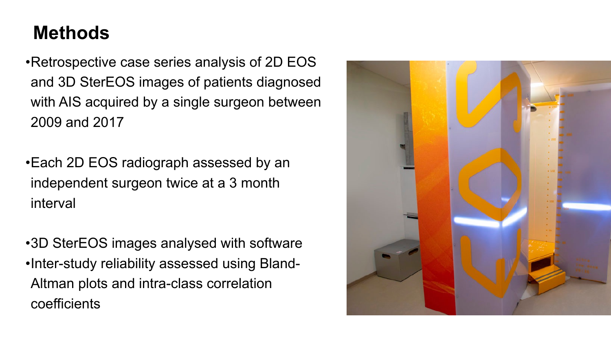with AIS acquired by a single surgeon between



- •Retrospective case series analysis of 2D EOS and 3D SterEOS images of patients diagnosed 2009 and 2017
- •Each 2D EOS radiograph assessed by an independent surgeon twice at a 3 month interval
- •3D SterEOS images analysed with software •Inter-study reliability assessed using Bland-Altman plots and intra-class correlation coefficients

### **Methods**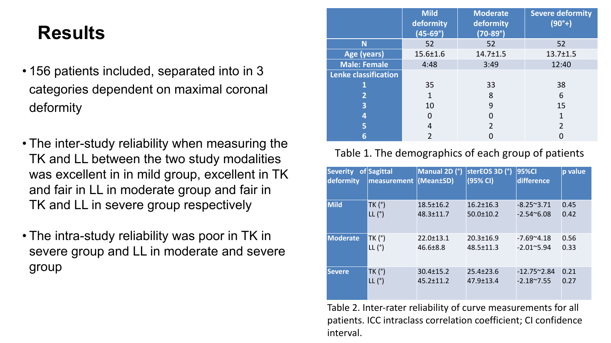- 156 patients included, separated into in 3 categories dependent on maximal coronal deformity
- The inter-study reliability when measuring the TK and LL between the two study modalities was excellent in in mild group, excellent in TK and fair in LL in moderate group and fair in TK and LL in severe group respectively
- The intra-study reliability was poor in TK in severe group and LL in moderate and severe group

**Lenke** 

**Severity of deform** 

**Mild** 

**Modera** 

**Severe** 

### **Severe deformity (90°+)**

13.7±1.5

|                           | Mild<br>deformity<br>$(45-69°)$ | Moderate<br>deformity<br>$(70-89°)$ | <b>Severe defc</b><br>$(90°+)$ |
|---------------------------|---------------------------------|-------------------------------------|--------------------------------|
| N                         | 52                              | 52                                  | 52                             |
| Age (years)               | 15.6±1.6                        | $14.7 \pm 1.5$                      | $13.7 \pm 1.$                  |
| <b>Male: Female</b>       | 4:48                            | 3:49                                | 12:40                          |
| <b>nke classification</b> |                                 |                                     |                                |
|                           | 35                              | 33                                  | 38                             |
|                           | $\blacksquare$                  | $\bigcap$                           | $\sqrt{ }$<br>h                |
|                           |                                 |                                     |                                |
|                           |                                 |                                     |                                |
|                           |                                 |                                     |                                |
|                           |                                 |                                     |                                |

| 38<br>6<br>15  |  |
|----------------|--|
|                |  |
| $\mathbf{1}$   |  |
| $\overline{2}$ |  |
|                |  |

### Table 1. The demographics of each group of patients

| ity | of Sagittal<br><b>measurement (Mean±SD)</b> | Manual 2D (°)   | sterEOS 3D (°)<br>$\vert$ (95% CI) | <b>95%CI</b><br>difference | p value |
|-----|---------------------------------------------|-----------------|------------------------------------|----------------------------|---------|
|     | TK (°)                                      | 18.5±16.2       | $16.2 \pm 16.3$                    | $-8.25^{\sim}3.71$         | 0.45    |
|     | $LL(^{\circ})$                              | 48.3±11.7       | 50.0±10.2                          | $-2.54^{\sim}6.08$         | 0.42    |
| ate | TK (°)                                      | 22.0±13.1       | $20.3 \pm 16.9$                    | $-7.69^{\circ}4.18$        | 0.56    |
|     | $LL(^{\circ})$                              | 46.6±8.8        | 48.5±11.3                          | $-2.01^{\circ}5.94$        | 0.33    |
|     | TK (°)                                      | $30.4 \pm 15.2$ | $25.4 \pm 23.6$                    | $-12.75^{\sim}2.84$        | 0.21    |
|     | LL (°)                                      | $45.2 \pm 11.2$ | $47.9 \pm 13.4$                    | $-2.18^{\sim}7.55$         | 0.27    |

Table 2. Inter-rater reliability of curve measurements for all patients. ICC intraclass correlation coefficient; CI confidence interval.

### **Results**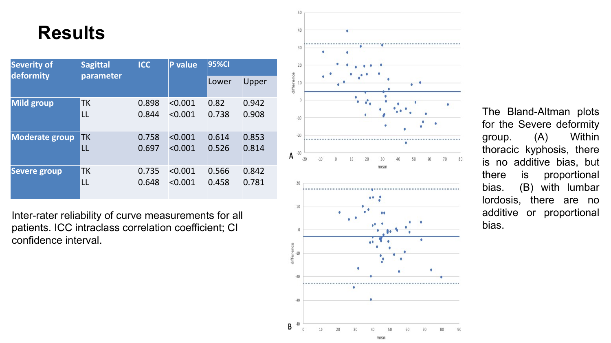Inter -rater reliability of curve measurements for all patients. ICC intraclass correlation coefficient; CI confidence interval.





| Severity of<br>deformity | Sagittal<br>parameter | ICC   | P value | <b>95%CI</b> |       |
|--------------------------|-----------------------|-------|---------|--------------|-------|
|                          |                       |       |         | Lower        | Upper |
| <b>Mild group</b>        | <b>TK</b>             | 0.898 | < 0.001 | 0.82         | 0.942 |
|                          | LL                    | 0.844 | < 0.001 | 0.738        | 0.908 |
| Moderate group TK        |                       | 0.758 | < 0.001 | 0.614        | 0.853 |
|                          |                       | 0.697 | < 0.001 | 0.526        | 0.814 |
| <b>Severe group</b>      | <b>TK</b>             | 0.735 | < 0.001 | 0.566        | 0.842 |
|                          | LL                    | 0.648 | < 0.001 | 0.458        | 0.781 |

The Bland-Altman plots for the Severe deformity group . (A) Within thoracic kyphosis, there is no additive bias, but there is proportional bias . (B) with lumbar lordosis, there are no additive or proportional bias .

mean

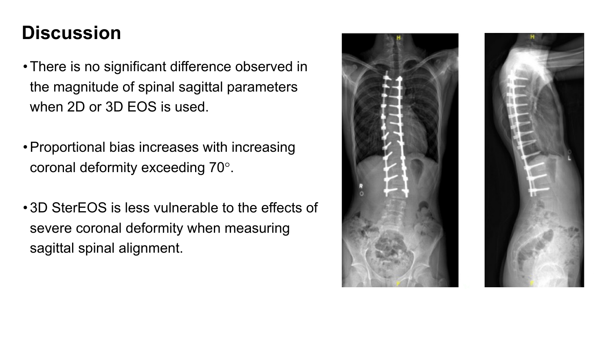- •There is no significant difference observed in the magnitude of spinal sagittal parameters when 2D or 3D EOS is used.
- •Proportional bias increases with increasing coronal deformity exceeding 70° .
- 3D SterEOS is less vulnerable to the effects of severe coronal deformity when measuring sagittal spinal alignment.





### **Discussion**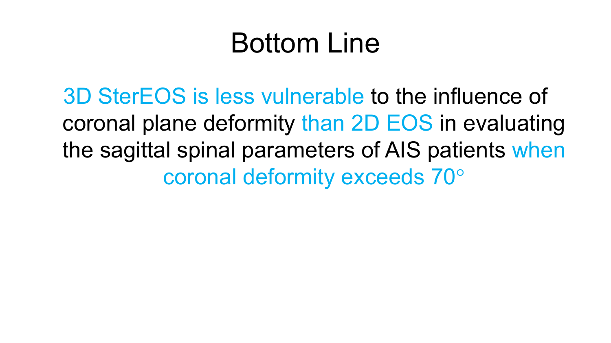# Bottom Line

# 3D SterEOS is less vulnerable to the influence of coronal plane deformity than 2D EOS in evaluating the sagittal spinal parameters of AIS patients when

coronal deformity exceeds 70°